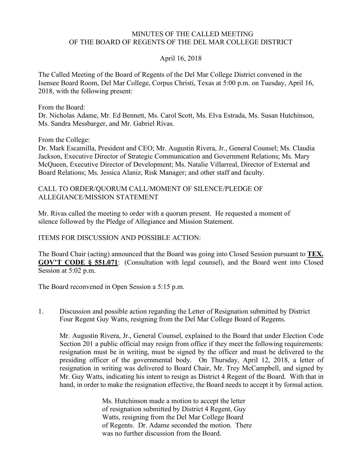## MINUTES OF THE CALLED MEETING OF THE BOARD OF REGENTS OF THE DEL MAR COLLEGE DISTRICT

## April 16, 2018

The Called Meeting of the Board of Regents of the Del Mar College District convened in the Isensee Board Room, Del Mar College, Corpus Christi, Texas at 5:00 p.m. on Tuesday, April 16, 2018, with the following present:

From the Board:

Dr. Nicholas Adame, Mr. Ed Bennett, Ms. Carol Scott, Ms. Elva Estrada, Ms. Susan Hutchinson, Ms. Sandra Messbarger, and Mr. Gabriel Rivas.

From the College:

Dr. Mark Escamilla, President and CEO; Mr. Augustin Rivera, Jr., General Counsel; Ms. Claudia Jackson, Executive Director of Strategic Communication and Government Relations; Ms. Mary McQueen, Executive Director of Development; Ms. Natalie Villarreal, Director of External and Board Relations; Ms. Jessica Alaniz, Risk Manager; and other staff and faculty.

## CALL TO ORDER/QUORUM CALL/MOMENT OF SILENCE/PLEDGE OF ALLEGIANCE/MISSION STATEMENT

Mr. Rivas called the meeting to order with a quorum present. He requested a moment of silence followed by the Pledge of Allegiance and Mission Statement.

ITEMS FOR DISCUSSION AND POSSIBLE ACTION:

The Board Chair (acting) announced that the Board was going into Closed Session pursuant to **TEX. GOV'T CODE § 551.071**: (Consultation with legal counsel), and the Board went into Closed Session at 5:02 p.m.

The Board reconvened in Open Session a 5:15 p.m.

1. Discussion and possible action regarding the Letter of Resignation submitted by District Four Regent Guy Watts, resigning from the Del Mar College Board of Regents.

Mr. Augustin Rivera, Jr., General Counsel, explained to the Board that under Election Code Section 201 a public official may resign from office if they meet the following requirements: resignation must be in writing, must be signed by the officer and must be delivered to the presiding officer of the governmental body. On Thursday, April 12, 2018, a letter of resignation in writing was delivered to Board Chair, Mr. Trey McCampbell, and signed by Mr. Guy Watts, indicating his intent to resign as District 4 Regent of the Board. With that in hand, in order to make the resignation effective, the Board needs to accept it by formal action.

> Ms. Hutchinson made a motion to accept the letter of resignation submitted by District 4 Regent, Guy Watts, resigning from the Del Mar College Board of Regents. Dr. Adame seconded the motion. There was no further discussion from the Board.